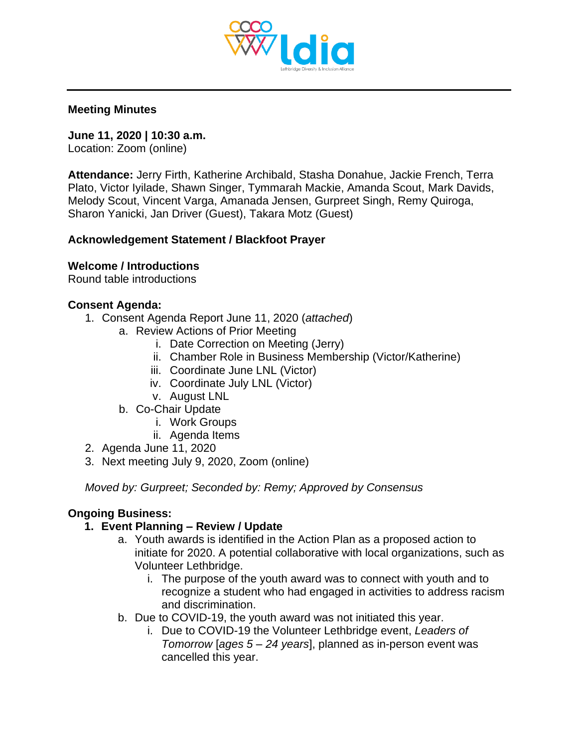

#### **Meeting Minutes**

**June 11, 2020 | 10:30 a.m.** Location: Zoom (online)

**Attendance:** Jerry Firth, Katherine Archibald, Stasha Donahue, Jackie French, Terra Plato, Victor Iyilade, Shawn Singer, Tymmarah Mackie, Amanda Scout, Mark Davids, Melody Scout, Vincent Varga, Amanada Jensen, Gurpreet Singh, Remy Quiroga, Sharon Yanicki, Jan Driver (Guest), Takara Motz (Guest)

### **Acknowledgement Statement / Blackfoot Prayer**

### **Welcome / Introductions**

Round table introductions

### **Consent Agenda:**

- 1. Consent Agenda Report June 11, 2020 (*attached*)
	- a. Review Actions of Prior Meeting
		- i. Date Correction on Meeting (Jerry)
		- ii. Chamber Role in Business Membership (Victor/Katherine)
		- iii. Coordinate June LNL (Victor)
		- iv. Coordinate July LNL (Victor)
		- v. August LNL
	- b. Co-Chair Update
		- i. Work Groups
		- ii. Agenda Items
- 2. Agenda June 11, 2020
- 3. Next meeting July 9, 2020, Zoom (online)

*Moved by: Gurpreet; Seconded by: Remy; Approved by Consensus* 

### **Ongoing Business:**

### **1. Event Planning – Review / Update**

- a. Youth awards is identified in the Action Plan as a proposed action to initiate for 2020. A potential collaborative with local organizations, such as Volunteer Lethbridge.
	- i. The purpose of the youth award was to connect with youth and to recognize a student who had engaged in activities to address racism and discrimination.
- b. Due to COVID-19, the youth award was not initiated this year.
	- i. Due to COVID-19 the Volunteer Lethbridge event, *Leaders of Tomorrow* [*ages 5 – 24 years*], planned as in-person event was cancelled this year.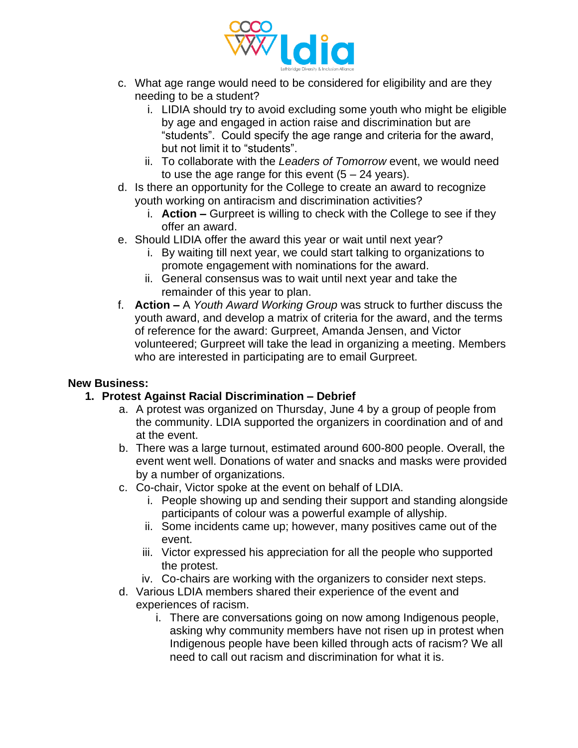

- c. What age range would need to be considered for eligibility and are they needing to be a student?
	- i. LIDIA should try to avoid excluding some youth who might be eligible by age and engaged in action raise and discrimination but are "students". Could specify the age range and criteria for the award, but not limit it to "students".
	- ii. To collaborate with the *Leaders of Tomorrow* event, we would need to use the age range for this event  $(5 - 24$  years).
- d. Is there an opportunity for the College to create an award to recognize youth working on antiracism and discrimination activities?
	- i. **Action –** Gurpreet is willing to check with the College to see if they offer an award.
- e. Should LIDIA offer the award this year or wait until next year?
	- i. By waiting till next year, we could start talking to organizations to promote engagement with nominations for the award.
	- ii. General consensus was to wait until next year and take the remainder of this year to plan.
- f. **Action –** A *Youth Award Working Group* was struck to further discuss the youth award, and develop a matrix of criteria for the award, and the terms of reference for the award: Gurpreet, Amanda Jensen, and Victor volunteered; Gurpreet will take the lead in organizing a meeting. Members who are interested in participating are to email Gurpreet.

### **New Business:**

### **1. Protest Against Racial Discrimination – Debrief**

- a. A protest was organized on Thursday, June 4 by a group of people from the community. LDIA supported the organizers in coordination and of and at the event.
- b. There was a large turnout, estimated around 600-800 people. Overall, the event went well. Donations of water and snacks and masks were provided by a number of organizations.
- c. Co-chair, Victor spoke at the event on behalf of LDIA.
	- i. People showing up and sending their support and standing alongside participants of colour was a powerful example of allyship.
	- ii. Some incidents came up; however, many positives came out of the event.
	- iii. Victor expressed his appreciation for all the people who supported the protest.
	- iv. Co-chairs are working with the organizers to consider next steps.
- d. Various LDIA members shared their experience of the event and experiences of racism.
	- i. There are conversations going on now among Indigenous people, asking why community members have not risen up in protest when Indigenous people have been killed through acts of racism? We all need to call out racism and discrimination for what it is.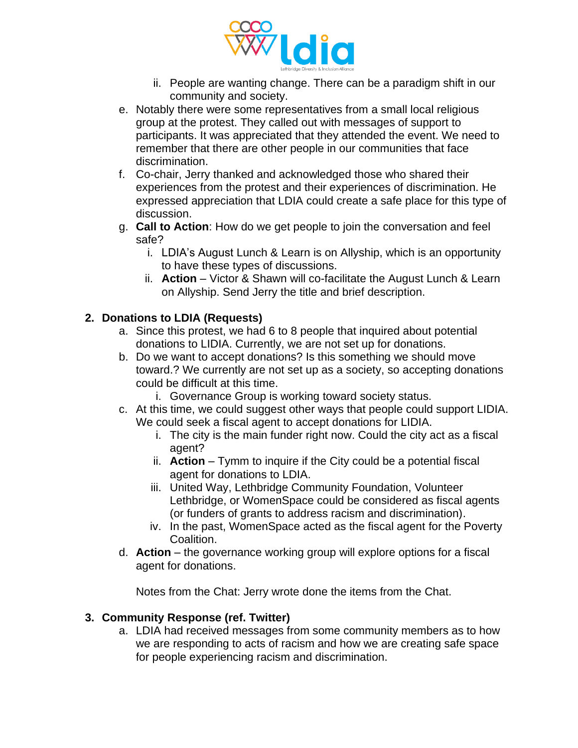

- ii. People are wanting change. There can be a paradigm shift in our community and society.
- e. Notably there were some representatives from a small local religious group at the protest. They called out with messages of support to participants. It was appreciated that they attended the event. We need to remember that there are other people in our communities that face discrimination.
- f. Co-chair, Jerry thanked and acknowledged those who shared their experiences from the protest and their experiences of discrimination. He expressed appreciation that LDIA could create a safe place for this type of discussion.
- g. **Call to Action**: How do we get people to join the conversation and feel safe?
	- i. LDIA's August Lunch & Learn is on Allyship, which is an opportunity to have these types of discussions.
	- ii. **Action** Victor & Shawn will co-facilitate the August Lunch & Learn on Allyship. Send Jerry the title and brief description.

# **2. Donations to LDIA (Requests)**

- a. Since this protest, we had 6 to 8 people that inquired about potential donations to LIDIA. Currently, we are not set up for donations.
- b. Do we want to accept donations? Is this something we should move toward.? We currently are not set up as a society, so accepting donations could be difficult at this time.
	- i. Governance Group is working toward society status.
- c. At this time, we could suggest other ways that people could support LIDIA. We could seek a fiscal agent to accept donations for LIDIA.
	- i. The city is the main funder right now. Could the city act as a fiscal agent?
	- ii. **Action** Tymm to inquire if the City could be a potential fiscal agent for donations to LDIA.
	- iii. United Way, Lethbridge Community Foundation, Volunteer Lethbridge, or WomenSpace could be considered as fiscal agents (or funders of grants to address racism and discrimination).
	- iv. In the past, WomenSpace acted as the fiscal agent for the Poverty Coalition.
- d. **Action** the governance working group will explore options for a fiscal agent for donations.

Notes from the Chat: Jerry wrote done the items from the Chat.

### **3. Community Response (ref. Twitter)**

a. LDIA had received messages from some community members as to how we are responding to acts of racism and how we are creating safe space for people experiencing racism and discrimination.